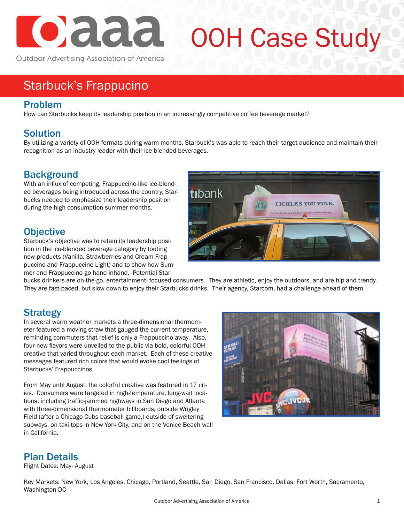

# OOH Case Study

Outdoor Advertising Association of America

### Starbuck's Frappucino

#### Problem

How can Starbucks keep its leadership position in an increasingly competitive coffee beverage market?

#### **Solution**

By utilizing a variety of OOH formats during warm months, Starbuck's was able to reach their target audience and maintain their recognition as an industry leader with their ice-blended beverages.

#### **Background**

With an influx of competing, Frappuccino-like ice-blended beverages being introduced across the country, Starbucks needed to emphasize their leadership position during the high-consumption summer months.

#### **Objective**

Starbuck's objective was to retain its leadership position in the ice-blended beverage category by touting new products (Vanilla, Strawberries and Cream Frappuccino and Frappuccino Light) and to show how Summer and Frappuccino go hand-inhand. Potential Star-



bucks drinkers are on-the-go, entertainment- focused consumers. They are athletic, enjoy the outdoors, and are hip and trendy. They are fast-paced, but slow down to enjoy their Starbucks drinks. Their agency, Starcom, had a challenge ahead of them.

#### **Strategy**

In several warm weather markets a three-dimensional thermometer featured a moving straw that gauged the current temperature, reminding commuters that relief is only a Frappuccino away. Also, four new flavors were unveiled to the public via bold, colorful OOH creative that varied throughout each market. Each of these creative messages featured rich colors that would evoke cool feelings of Starbucks' Frappuccinos.

From May until August, the colorful creative was featured in 17 cities. Consumers were targeted in high-temperature, long-wait locations, including traffic-jammed highways in San Diego and Atlanta with three-dimensional thermometer billboards, outside Wrigley Field (after a Chicago Cubs baseball game,) outside of sweltering subways, on taxi tops in New York City, and on the Venice Beach wall in California.



#### Plan Details

Flight Dates: May- August

Key Markets: New York, Los Angeles, Chicago, Portland, Seattle, San Diego, San Francisco, Dallas, Fort Worth, Sacramento, Washington DC